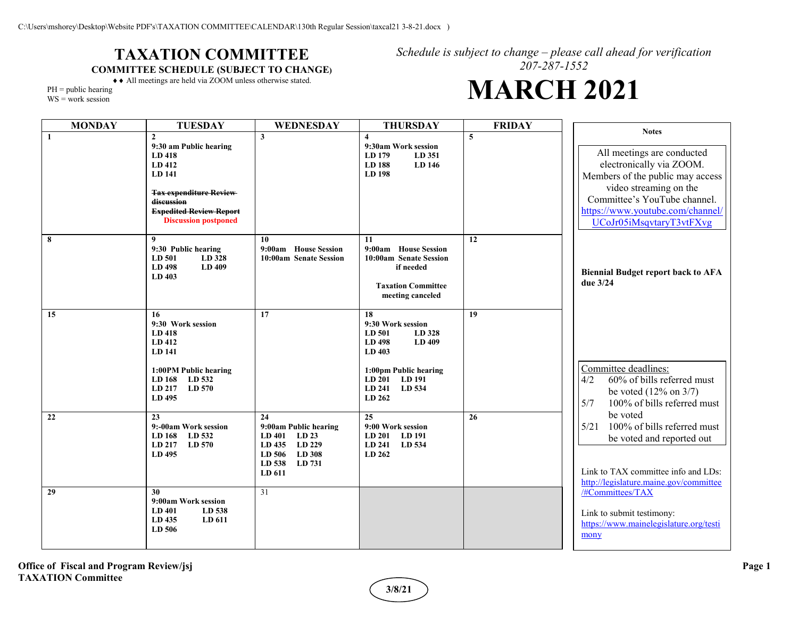## **TAXATION COMMITTEE COMMITTEE SCHEDULE (SUBJECT TO CHANGE)**

*Schedule is subject to change – please call ahead for verification 207-287-1552*

## **MARCH 2021**

♦♦ All meetings are held via ZOOM unless otherwise stated.  $PH = public hearing$ 

WS = work session

| <b>MONDAY</b> | <b>TUESDAY</b>                                                                                                                                                                       | WEDNESDAY                                                                                                                   | <b>THURSDAY</b>                                                                                                                                      | <b>FRIDAY</b>  |                                                                                                                                                                                                                                      |
|---------------|--------------------------------------------------------------------------------------------------------------------------------------------------------------------------------------|-----------------------------------------------------------------------------------------------------------------------------|------------------------------------------------------------------------------------------------------------------------------------------------------|----------------|--------------------------------------------------------------------------------------------------------------------------------------------------------------------------------------------------------------------------------------|
| $\mathbf{1}$  | $\mathbf{2}$<br>9:30 am Public hearing<br>LD 418<br>LD 412<br>LD 141<br><b>Tax expenditure Review</b><br>discussion<br><b>Expedited Review Report</b><br><b>Discussion postponed</b> | $\mathbf{3}$                                                                                                                | $\overline{\mathbf{4}}$<br>9:30am Work session<br>LD 179<br>LD 351<br>LD 188<br>LD 146<br>LD 198                                                     | $\overline{5}$ | <b>Notes</b><br>All meetings are conducted<br>electronically via ZOOM.<br>Members of the public may access<br>video streaming on the<br>Committee's YouTube channel.<br>https://www.youtube.com/channel/<br>UCoJr05iMsqvtaryT3vtFXvg |
| 8             | 9<br>9:30 Public hearing<br>LD 501<br>LD 328<br>LD 498<br>LD 409<br>LD 403                                                                                                           | 10<br>9:00am House Session<br>10:00am Senate Session                                                                        | 11<br>9:00am House Session<br>10:00am Senate Session<br>if needed<br><b>Taxation Committee</b><br>meeting canceled                                   | 12             | <b>Biennial Budget report back to AFA</b><br>due 3/24                                                                                                                                                                                |
| 15            | 16<br>9:30 Work session<br><b>LD</b> 418<br>LD 412<br>LD 141<br>1:00PM Public hearing<br>LD 168<br>LD 532<br>LD 570<br>LD 217<br>LD 495                                              | 17                                                                                                                          | 18<br>9:30 Work session<br>LD 501<br>LD 328<br>LD 498<br>LD 409<br>LD 403<br>1:00pm Public hearing<br>LD 191<br>LD 201<br>LD 534<br>LD 241<br>LD 262 | 19             | Committee deadlines:<br>60% of bills referred must<br>4/2<br>be voted $(12\% \text{ on } 3/7)$<br>5/7<br>100% of bills referred must                                                                                                 |
| 22            | 23<br>9:-00am Work session<br>LD 168<br>LD 532<br>LD 217<br>LD 570<br>LD 495                                                                                                         | 24<br>9:00am Public hearing<br><b>LD 401</b><br>LD 23<br>LD 229<br>LD 435<br>LD 308<br>LD 506<br>LD 538<br>LD 731<br>LD 611 | 25<br>9:00 Work session<br><b>LD 201</b><br><b>LD</b> 191<br>LD 241<br>LD 534<br>LD 262                                                              | 26             | be voted<br>100% of bills referred must<br>5/21<br>be voted and reported out<br>Link to TAX committee info and LDs:<br>http://legislature.maine.gov/committee                                                                        |
| 29            | 30<br>9:00am Work session<br>LD 538<br><b>LD</b> 401<br>LD 435<br>LD 611<br>LD 506                                                                                                   | 31                                                                                                                          |                                                                                                                                                      |                | /#Committees/TAX<br>Link to submit testimony:<br>https://www.mainelegislature.org/testi<br>mony                                                                                                                                      |